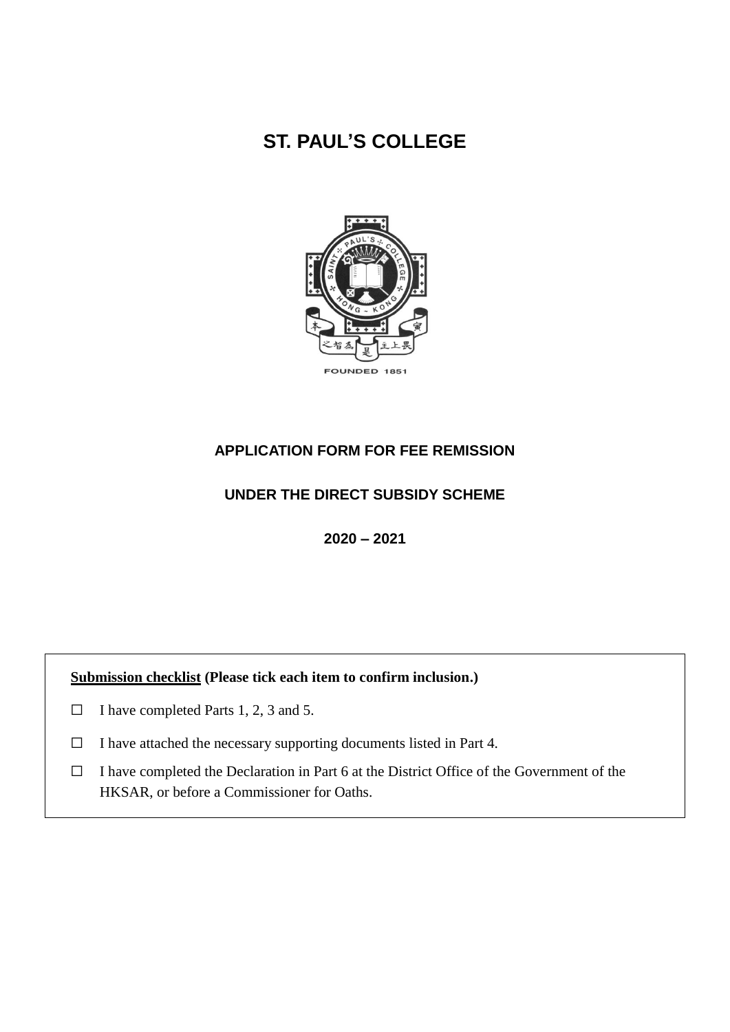# **ST. PAUL'S COLLEGE**



# **APPLICATION FORM FOR FEE REMISSION**

# **UNDER THE DIRECT SUBSIDY SCHEME**

**2020 – 2021**

# **Submission checklist (Please tick each item to confirm inclusion.)**

- $\Box$  I have completed Parts 1, 2, 3 and 5.
- ☐ I have attached the necessary supporting documents listed in Part 4.
- ☐ I have completed the Declaration in Part 6 at the District Office of the Government of the HKSAR, or before a Commissioner for Oaths.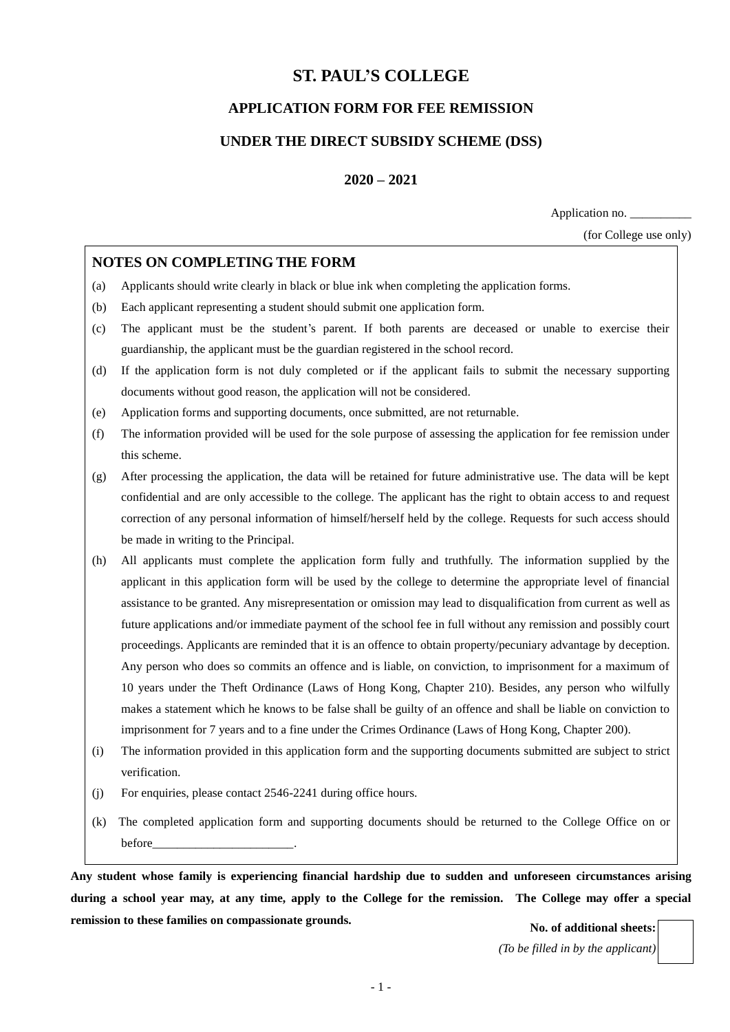# **ST. PAUL'S COLLEGE**

# **APPLICATION FORM FOR FEE REMISSION**

# **UNDER THE DIRECT SUBSIDY SCHEME (DSS)**

**2020 – 2021**

Application no. \_\_\_\_\_\_\_\_\_\_

(for College use only)

# **NOTES ON COMPLETING THE FORM**

- (a) Applicants should write clearly in black or blue ink when completing the application forms.
- (b) Each applicant representing a student should submit one application form.
- (c) The applicant must be the student's parent. If both parents are deceased or unable to exercise their guardianship, the applicant must be the guardian registered in the school record.
- (d) If the application form is not duly completed or if the applicant fails to submit the necessary supporting documents without good reason, the application will not be considered.
- (e) Application forms and supporting documents, once submitted, are not returnable.
- (f) The information provided will be used for the sole purpose of assessing the application for fee remission under this scheme.
- (g) After processing the application, the data will be retained for future administrative use. The data will be kept confidential and are only accessible to the college. The applicant has the right to obtain access to and request correction of any personal information of himself/herself held by the college. Requests for such access should be made in writing to the Principal.
- (h) All applicants must complete the application form fully and truthfully. The information supplied by the applicant in this application form will be used by the college to determine the appropriate level of financial assistance to be granted. Any misrepresentation or omission may lead to disqualification from current as well as future applications and/or immediate payment of the school fee in full without any remission and possibly court proceedings. Applicants are reminded that it is an offence to obtain property/pecuniary advantage by deception. Any person who does so commits an offence and is liable, on conviction, to imprisonment for a maximum of 10 years under the Theft Ordinance (Laws of Hong Kong, Chapter 210). Besides, any person who wilfully makes a statement which he knows to be false shall be guilty of an offence and shall be liable on conviction to imprisonment for 7 years and to a fine under the Crimes Ordinance (Laws of Hong Kong, Chapter 200).
- (i) The information provided in this application form and the supporting documents submitted are subject to strict verification.
- (j) For enquiries, please contact 2546-2241 during office hours.
- (k) The completed application form and supporting documents should be returned to the College Office on or before\_\_\_\_\_\_\_\_\_\_\_\_\_\_\_\_\_\_\_\_\_\_\_.

**Any student whose family is experiencing financial hardship due to sudden and unforeseen circumstances arising during a school year may, at any time, apply to the College for the remission. The College may offer a special remission to these families on compassionate grounds.** No. of additional sheets:

*(To be filled in by the applicant)*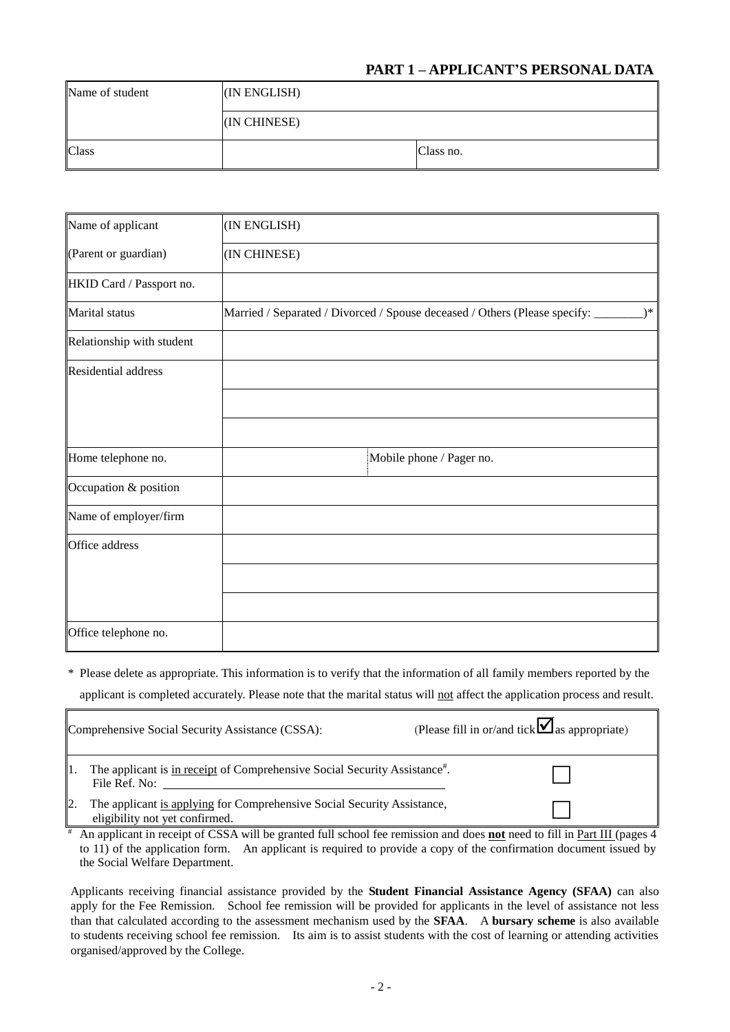# **PART 1 – APPLICANT'S PERSONAL DATA**

| Name of student | (IN ENGLISH) |           |  |  |  |  |
|-----------------|--------------|-----------|--|--|--|--|
|                 | (IN CHINESE) |           |  |  |  |  |
| Class           |              | Class no. |  |  |  |  |

| Name of applicant          | (IN ENGLISH)                                                                         |
|----------------------------|--------------------------------------------------------------------------------------|
| (Parent or guardian)       | (IN CHINESE)                                                                         |
| HKID Card / Passport no.   |                                                                                      |
| Marital status             | Married / Separated / Divorced / Spouse deceased / Others (Please specify: _<br>$)*$ |
| Relationship with student  |                                                                                      |
| <b>Residential address</b> |                                                                                      |
|                            |                                                                                      |
|                            |                                                                                      |
| Home telephone no.         | Mobile phone / Pager no.                                                             |
| Occupation & position      |                                                                                      |
| Name of employer/firm      |                                                                                      |
| Office address             |                                                                                      |
|                            |                                                                                      |
|                            |                                                                                      |
| Office telephone no.       |                                                                                      |

\* Please delete as appropriate. This information is to verify that the information of all family members reported by the applicant is completed accurately. Please note that the marital status will not affect the application process and result.

| Comprehensive Social Security Assistance (CSSA):                                                          | (Please fill in or/and tick $\blacksquare$ as appropriate) |
|-----------------------------------------------------------------------------------------------------------|------------------------------------------------------------|
| The applicant is in receipt of Comprehensive Social Security Assistance#.<br>File Ref. No:                |                                                            |
| The applicant is applying for Comprehensive Social Security Assistance,<br>eligibility not yet confirmed. |                                                            |

# An applicant in receipt of CSSA will be granted full school fee remission and does **not** need to fill in Part III (pages 4 to 11) of the application form. An applicant is required to provide a copy of the confirmation document issued by the Social Welfare Department.

Applicants receiving financial assistance provided by the **Student Financial Assistance Agency (SFAA)** can also apply for the Fee Remission. School fee remission will be provided for applicants in the level of assistance not less than that calculated according to the assessment mechanism used by the **SFAA**. A **bursary scheme** is also available to students receiving school fee remission. Its aim is to assist students with the cost of learning or attending activities organised/approved by the College.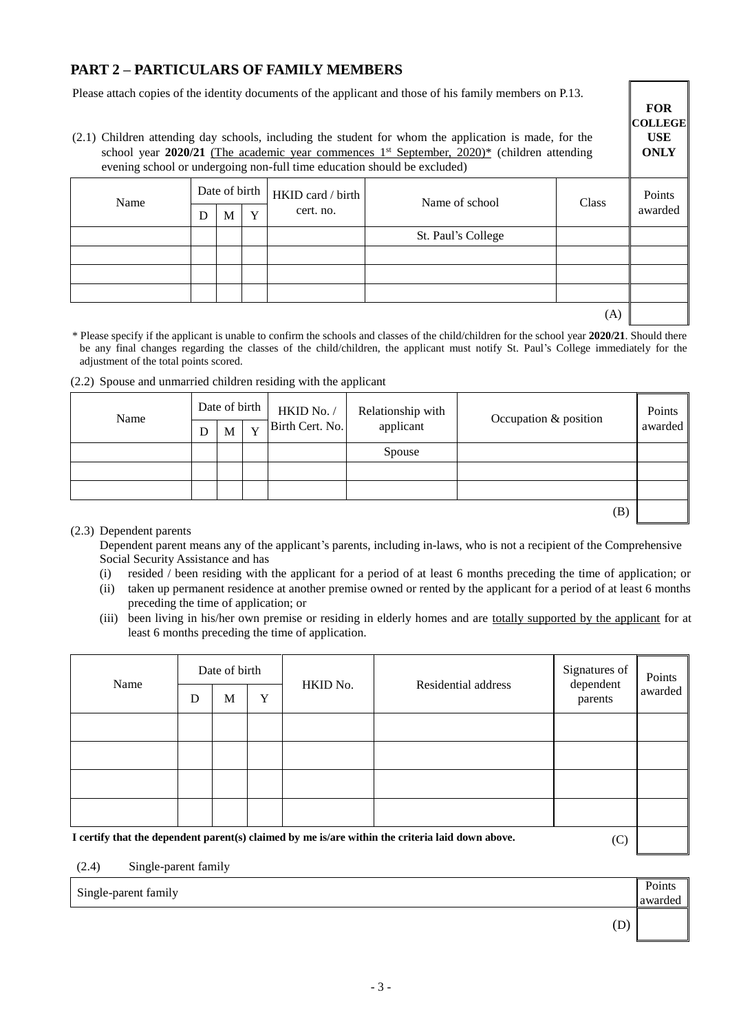# **PART 2 – PARTICULARS OF FAMILY MEMBERS**

Please attach copies of the identity documents of the applicant and those of his family members on P.13.

(2.1) Children attending day schools, including the student for whom the application is made, for the school year  $2020/21$  (The academic year commences  $1<sup>st</sup>$  September,  $2020$ )\* (children attending evening school or undergoing non-full time education should be excluded)

| ັ    |                                                                              | <u>.</u> |  |                         |         |  |  |
|------|------------------------------------------------------------------------------|----------|--|-------------------------|---------|--|--|
| Name | Date of birth $H KID$ card / birth $\frac{1}{2}$<br>cert. no.<br>Y<br>D<br>M |          |  | Name of school<br>Class |         |  |  |
|      |                                                                              |          |  |                         | awarded |  |  |
|      |                                                                              |          |  | St. Paul's College      |         |  |  |
|      |                                                                              |          |  |                         |         |  |  |
|      |                                                                              |          |  |                         |         |  |  |
|      |                                                                              |          |  |                         |         |  |  |
|      |                                                                              |          |  |                         | (A)     |  |  |

**FOR COLLEGE USE ONLY**

awarded

(D)

\* Please specify if the applicant is unable to confirm the schools and classes of the child/children for the school year **2020/21**. Should there be any final changes regarding the classes of the child/children, the applicant must notify St. Paul's College immediately for the adjustment of the total points scored.

#### (2.2) Spouse and unmarried children residing with the applicant

| Name | Date of birth |   |   | HKID No. /      | Relationship with | Occupation & position | Points  |
|------|---------------|---|---|-----------------|-------------------|-----------------------|---------|
|      | D             | M | Y | Birth Cert. No. | applicant         |                       | awarded |
|      |               |   |   |                 | Spouse            |                       |         |
|      |               |   |   |                 |                   |                       |         |
|      |               |   |   |                 |                   |                       |         |
|      |               |   |   |                 |                   | (B)                   |         |

#### (2.3) Dependent parents

Dependent parent means any of the applicant's parents, including in-laws, who is not a recipient of the Comprehensive Social Security Assistance and has

- (i) resided / been residing with the applicant for a period of at least 6 months preceding the time of application; or
- (ii) taken up permanent residence at another premise owned or rented by the applicant for a period of at least 6 months preceding the time of application; or
- (iii) been living in his/her own premise or residing in elderly homes and are totally supported by the applicant for at least 6 months preceding the time of application.

| Name | D | Date of birth<br>M | Y | HKID No. | Residential address                                                                              | Signatures of<br>dependent<br>parents | Points<br>awarded |
|------|---|--------------------|---|----------|--------------------------------------------------------------------------------------------------|---------------------------------------|-------------------|
|      |   |                    |   |          |                                                                                                  |                                       |                   |
|      |   |                    |   |          |                                                                                                  |                                       |                   |
|      |   |                    |   |          |                                                                                                  |                                       |                   |
|      |   |                    |   |          |                                                                                                  |                                       |                   |
|      |   |                    |   |          | I certify that the dependent parent(s) claimed by me is/are within the criteria laid down above. | $\sqrt{2}$                            |                   |

**I certify that the dependent parent(s) claimed by me is/are within the criteria laid down above.** (C)

(2.4) Single-parent family

Single-parent family **Points**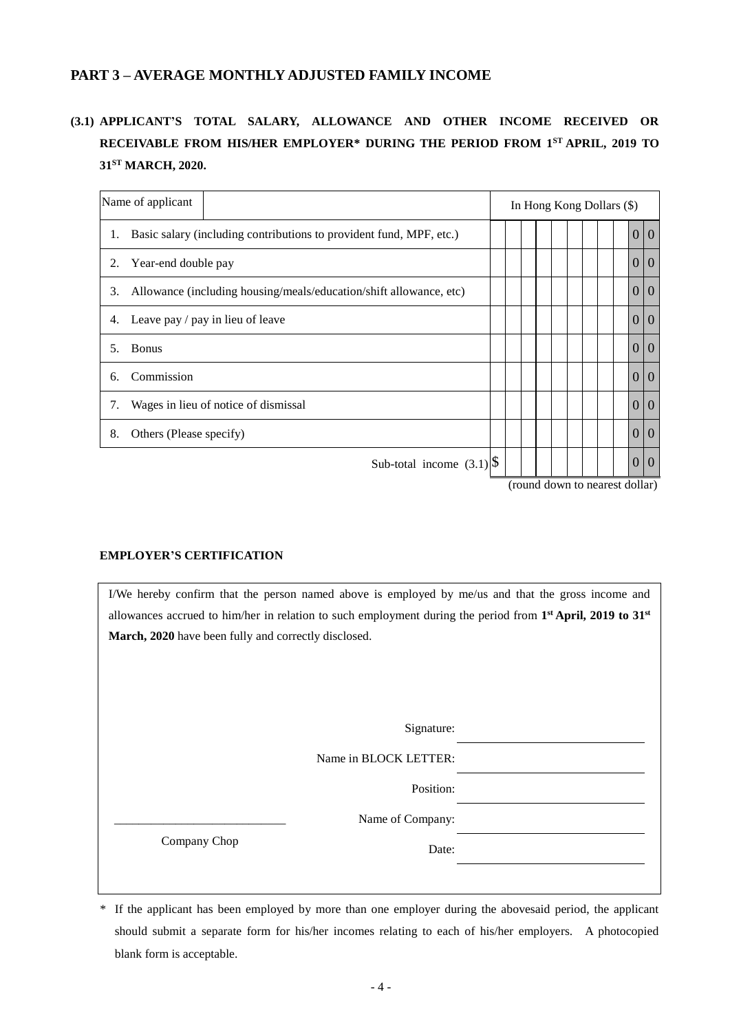# **PART 3 – AVERAGE MONTHLY ADJUSTED FAMILY INCOME**

# **(3.1) APPLICANT'S TOTAL SALARY, ALLOWANCE AND OTHER INCOME RECEIVED OR RECEIVABLE FROM HIS/HER EMPLOYER\* DURING THE PERIOD FROM 1ST APRIL, 2019 TO 31ST MARCH, 2020.**

| Name of applicant                                                         |  |  |  |  | In Hong Kong Dollars (\$) |                                  |  |
|---------------------------------------------------------------------------|--|--|--|--|---------------------------|----------------------------------|--|
| Basic salary (including contributions to provident fund, MPF, etc.)<br>1. |  |  |  |  |                           | 0 0                              |  |
| Year-end double pay<br>2.                                                 |  |  |  |  |                           | $\Omega$<br>$\Omega$             |  |
| Allowance (including housing/meals/education/shift allowance, etc)<br>3.  |  |  |  |  |                           | $\overline{0}$<br>$\overline{0}$ |  |
| Leave pay / pay in lieu of leave<br>4.                                    |  |  |  |  |                           | $\Omega$<br>$\Omega$             |  |
| <b>Bonus</b><br>5.                                                        |  |  |  |  |                           | $\Omega$<br>$\Omega$             |  |
| Commission<br>6.                                                          |  |  |  |  |                           | $\overline{0}$<br>$\Omega$       |  |
| Wages in lieu of notice of dismissal<br>7.                                |  |  |  |  |                           | $\Omega$<br>$\Omega$             |  |
| 8.<br>Others (Please specify)                                             |  |  |  |  |                           | $\overline{0}$<br>$\overline{0}$ |  |
| Sub-total income $(3.1)$ <sup>\Speeds</sup>                               |  |  |  |  |                           | $\Omega$<br>$\left($             |  |

(round down to nearest dollar)

## **EMPLOYER'S CERTIFICATION**

I/We hereby confirm that the person named above is employed by me/us and that the gross income and allowances accrued to him/her in relation to such employment during the period from **1 st April, 2019 to 31st March, 2020** have been fully and correctly disclosed.

Signature:

Name in BLOCK LETTER:

Position:

Name of Company:

Company Chop

Date:

\* If the applicant has been employed by more than one employer during the abovesaid period, the applicant should submit a separate form for his/her incomes relating to each of his/her employers. A photocopied blank form is acceptable.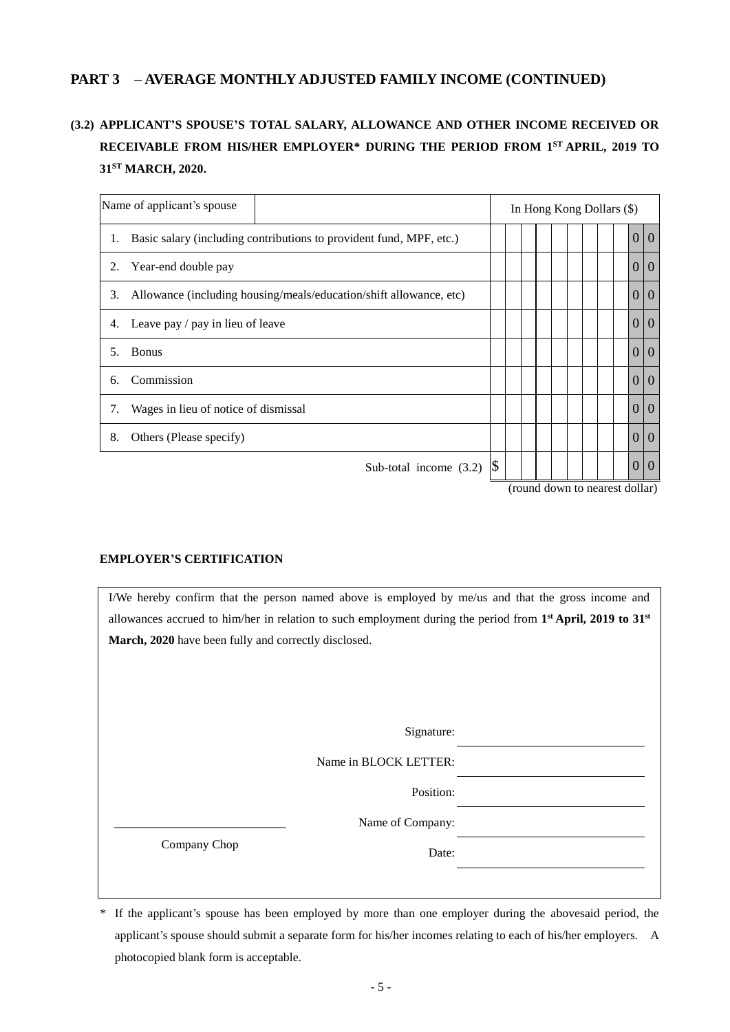# **(3.2) APPLICANT'S SPOUSE'S TOTAL SALARY, ALLOWANCE AND OTHER INCOME RECEIVED OR RECEIVABLE FROM HIS/HER EMPLOYER\* DURING THE PERIOD FROM 1 ST APRIL, 2019 TO 31ST MARCH, 2020.**

|    | Name of applicant's spouse                                          |               |             |  | In Hong Kong Dollars (\$) |                |
|----|---------------------------------------------------------------------|---------------|-------------|--|---------------------------|----------------|
| 1. | Basic salary (including contributions to provident fund, MPF, etc.) |               |             |  | $\theta$                  | $\overline{0}$ |
| 2. | Year-end double pay                                                 |               |             |  | $\theta$                  | $\overline{0}$ |
| 3. | Allowance (including housing/meals/education/shift allowance, etc)  |               |             |  | $\theta$                  | $\theta$       |
| 4. | Leave pay / pay in lieu of leave                                    |               |             |  | $\Omega$                  | $\theta$       |
| 5. | <b>Bonus</b>                                                        |               |             |  | $\Omega$                  | $\overline{0}$ |
| 6. | Commission                                                          |               |             |  | $\theta$                  | 10             |
| 7. | Wages in lieu of notice of dismissal                                |               |             |  | $\theta$                  | $\theta$       |
| 8. | Others (Please specify)                                             |               |             |  | $\Omega$                  | $\overline{0}$ |
|    | Sub-total income $(3.2)$                                            | $\mathcal{S}$ | $1 \quad 1$ |  | $\theta$<br>111           | $\theta$       |

(round down to nearest dollar)

## **EMPLOYER'S CERTIFICATION**

I/We hereby confirm that the person named above is employed by me/us and that the gross income and allowances accrued to him/her in relation to such employment during the period from **1 st April, 2019 to 31st March, 2020** have been fully and correctly disclosed.

Signature:

Name in BLOCK LETTER:

Position:

Name of Company:

Company Chop

Date:

<sup>\*</sup> If the applicant's spouse has been employed by more than one employer during the abovesaid period, the applicant's spouse should submit a separate form for his/her incomes relating to each of his/her employers. A photocopied blank form is acceptable.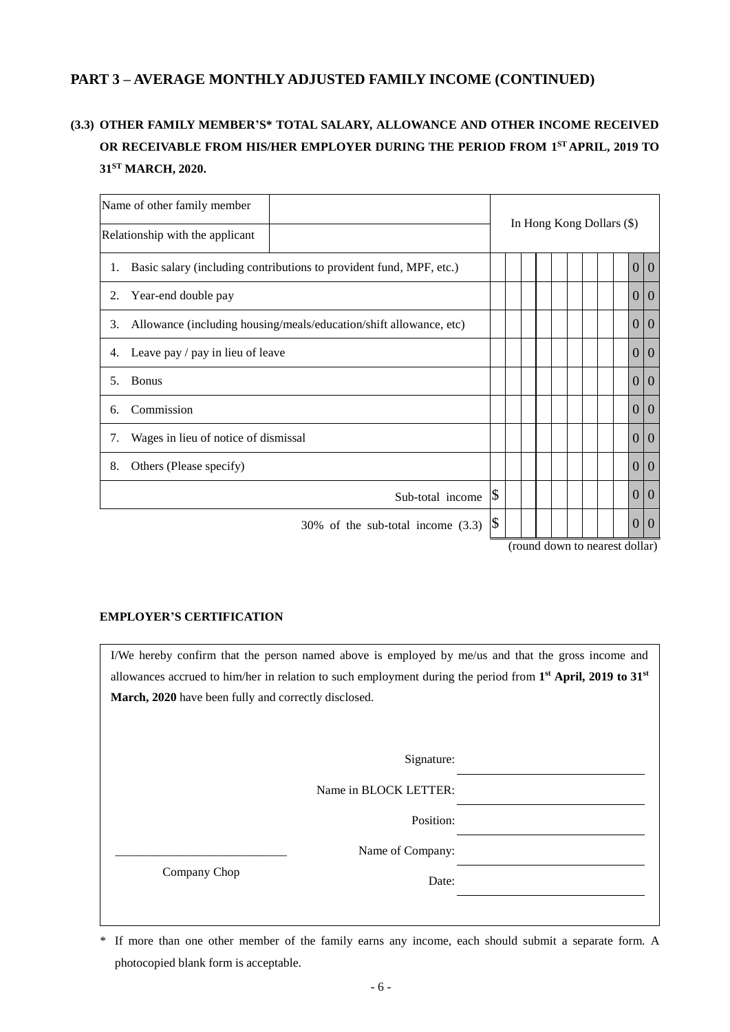# **(3.3) OTHER FAMILY MEMBER'S\* TOTAL SALARY, ALLOWANCE AND OTHER INCOME RECEIVED OR RECEIVABLE FROM HIS/HER EMPLOYER DURING THE PERIOD FROM 1 ST APRIL, 2019 TO 31ST MARCH, 2020.**

| Name of other family member                                               |                                                |
|---------------------------------------------------------------------------|------------------------------------------------|
| Relationship with the applicant                                           | In Hong Kong Dollars (\$)                      |
| Basic salary (including contributions to provident fund, MPF, etc.)<br>1. | 0 0                                            |
| Year-end double pay                                                       | $\Omega$                                       |
| 2.                                                                        | $\overline{0}$                                 |
| Allowance (including housing/meals/education/shift allowance, etc)        | $\overline{0}$                                 |
| 3.                                                                        | $\theta$                                       |
| Leave pay / pay in lieu of leave                                          | $\overline{0}$                                 |
| 4.                                                                        | $\Omega$                                       |
| <b>Bonus</b>                                                              | $\overline{0}$                                 |
| 5.                                                                        | $\theta$                                       |
| Commission                                                                | $\Omega$                                       |
| 6.                                                                        | $\Omega$                                       |
| Wages in lieu of notice of dismissal                                      | $\overline{0}$                                 |
| 7.                                                                        | $\Omega$                                       |
| Others (Please specify)                                                   | $\Omega$                                       |
| 8.                                                                        | $\Omega$                                       |
|                                                                           | \$<br>$\Omega$<br>$\Omega$<br>Sub-total income |
| $30\%$ of the sub-total income $(3.3)$                                    | \$<br>$\theta$<br>$\theta$                     |

(round down to nearest dollar)

## **EMPLOYER'S CERTIFICATION**

I/We hereby confirm that the person named above is employed by me/us and that the gross income and allowances accrued to him/her in relation to such employment during the period from **1 st April, 2019 to 31st March, 2020** have been fully and correctly disclosed.

Signature:

Name in BLOCK LETTER:

Position:

Name of Company:

Company Chop

Date:

\* If more than one other member of the family earns any income, each should submit a separate form. A photocopied blank form is acceptable.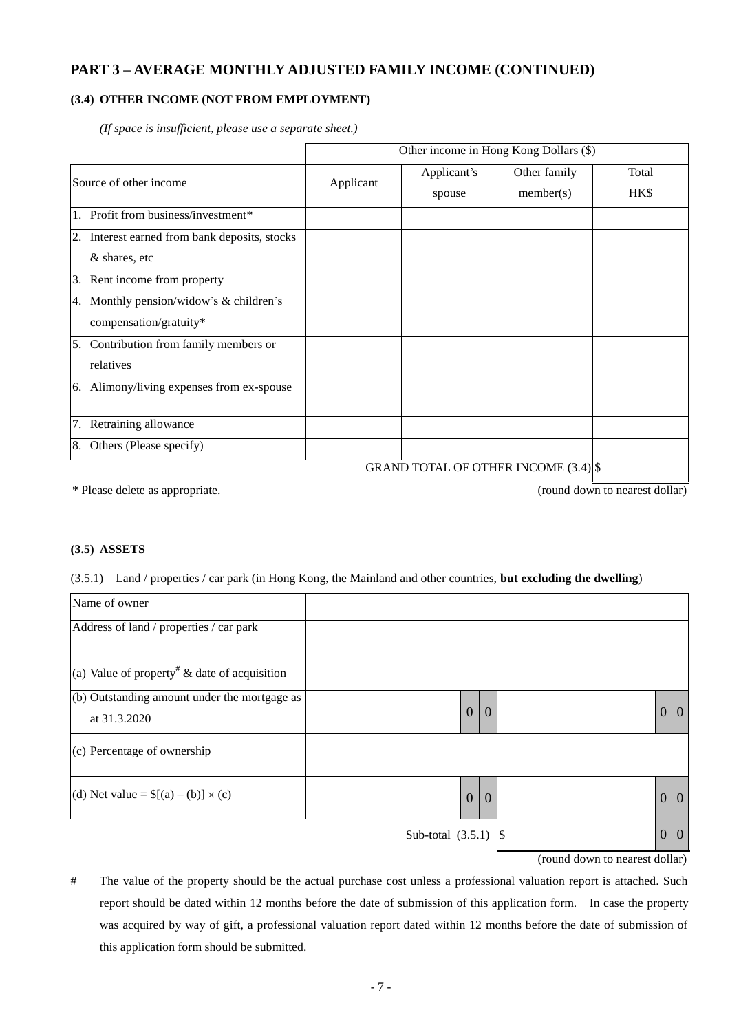## **(3.4) OTHER INCOME (NOT FROM EMPLOYMENT)**

|                                                  |           | Other income in Hong Kong Dollars (\$) |              |       |  |  |  |  |  |
|--------------------------------------------------|-----------|----------------------------------------|--------------|-------|--|--|--|--|--|
| Source of other income                           | Applicant | Applicant's                            | Other family | Total |  |  |  |  |  |
|                                                  |           | spouse                                 | member(s)    | HK\$  |  |  |  |  |  |
| Profit from business/investment*                 |           |                                        |              |       |  |  |  |  |  |
| Interest earned from bank deposits, stocks<br>2. |           |                                        |              |       |  |  |  |  |  |
| & shares, etc                                    |           |                                        |              |       |  |  |  |  |  |
| Rent income from property<br>3.                  |           |                                        |              |       |  |  |  |  |  |
| 4. Monthly pension/widow's & children's          |           |                                        |              |       |  |  |  |  |  |
| compensation/gratuity*                           |           |                                        |              |       |  |  |  |  |  |
| Contribution from family members or<br>5.        |           |                                        |              |       |  |  |  |  |  |
| relatives                                        |           |                                        |              |       |  |  |  |  |  |
| Alimony/living expenses from ex-spouse<br>6.     |           |                                        |              |       |  |  |  |  |  |
|                                                  |           |                                        |              |       |  |  |  |  |  |
| Retraining allowance                             |           |                                        |              |       |  |  |  |  |  |
| Others (Please specify)<br>8.                    |           | $CD$ AND FORAL OF OFFICE BLOOME (2.4)  |              |       |  |  |  |  |  |

*(If space is insufficient, please use a separate sheet.)*

GRAND TOTAL OF OTHER INCOME  $(3.4)$  \$

\* Please delete as appropriate. (round down to nearest dollar)

#### **(3.5) ASSETS**

(3.5.1) Land / properties / car park (in Hong Kong, the Mainland and other countries, **but excluding the dwelling**)

| Name of owner                                                  |                                  |                          |                |
|----------------------------------------------------------------|----------------------------------|--------------------------|----------------|
| Address of land / properties / car park                        |                                  |                          |                |
| (a) Value of property <sup>#</sup> & date of acquisition       |                                  |                          |                |
| $(b)$ Outstanding amount under the mortgage as<br>at 31.3.2020 | $\overline{0}$<br>$\overline{0}$ | $\overline{0}$           | $\overline{0}$ |
| (c) Percentage of ownership                                    |                                  |                          |                |
| (d) Net value = $([a) - (b)] \times (c)$                       | $\boldsymbol{0}$<br>$\theta$     | $\mathbf{0}$             | $\overline{0}$ |
|                                                                | Sub-total $(3.5.1)$              | $\boldsymbol{0}$<br>-1\$ | $\overline{0}$ |

(round down to nearest dollar)

# The value of the property should be the actual purchase cost unless a professional valuation report is attached. Such report should be dated within 12 months before the date of submission of this application form. In case the property was acquired by way of gift, a professional valuation report dated within 12 months before the date of submission of this application form should be submitted.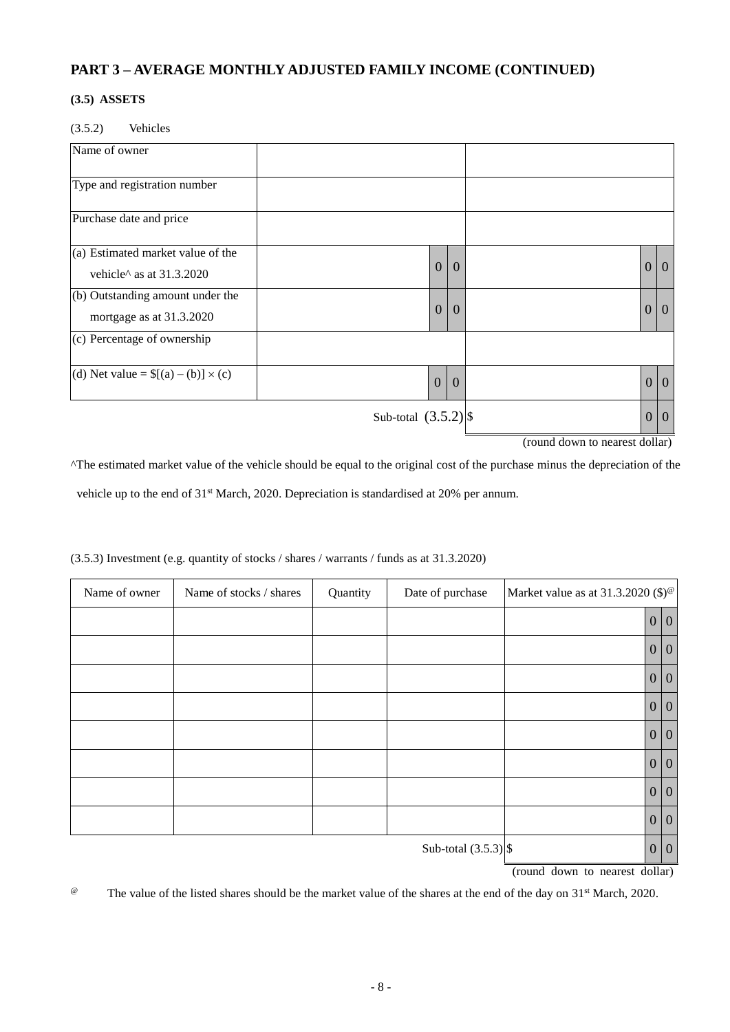## **(3.5) ASSETS**

(3.5.2) Vehicles

| Name of owner                                                 |                        |                |                |                  |                |
|---------------------------------------------------------------|------------------------|----------------|----------------|------------------|----------------|
| Type and registration number                                  |                        |                |                |                  |                |
| Purchase date and price                                       |                        |                |                |                  |                |
| (a) Estimated market value of the<br>vehicle^ as at 31.3.2020 |                        | $\mathbf{0}$   | $\mathbf{0}$   | $\boldsymbol{0}$ | $\overline{0}$ |
| (b) Outstanding amount under the<br>mortgage as at 31.3.2020  |                        | $\overline{0}$ | $\mathbf{0}$   | $\boldsymbol{0}$ | $\overline{0}$ |
| (c) Percentage of ownership                                   |                        |                |                |                  |                |
| (d) Net value = $([a) - (b)] \times (c)$                      |                        | $\mathbf{0}$   | $\overline{0}$ |                  | 0 0            |
|                                                               | Sub-total $(3.5.2)$ \$ |                |                | 0 0              |                |

(round down to nearest dollar)

^The estimated market value of the vehicle should be equal to the original cost of the purchase minus the depreciation of the vehicle up to the end of 31<sup>st</sup> March, 2020. Depreciation is standardised at 20% per annum.

| Name of owner | Name of stocks / shares | Quantity | Date of purchase       | Market value as at $31.3.2020$ (\$) <sup>@</sup> |     |     |
|---------------|-------------------------|----------|------------------------|--------------------------------------------------|-----|-----|
|               |                         |          |                        |                                                  |     | 0 0 |
|               |                         |          |                        |                                                  |     | 0 0 |
|               |                         |          |                        |                                                  |     | 0 0 |
|               |                         |          |                        |                                                  |     | 0 0 |
|               |                         |          |                        |                                                  |     | 0 0 |
|               |                         |          |                        |                                                  |     | 0 0 |
|               |                         |          |                        |                                                  |     | 0 0 |
|               |                         |          |                        |                                                  |     | 0 0 |
|               |                         |          | Sub-total $(3.5.3)$ \$ |                                                  | 0 0 |     |

(3.5.3) Investment (e.g. quantity of stocks / shares / warrants / funds as at 31.3.2020)

(round down to nearest dollar)

<sup>@</sup> The value of the listed shares should be the market value of the shares at the end of the day on 31<sup>st</sup> March, 2020.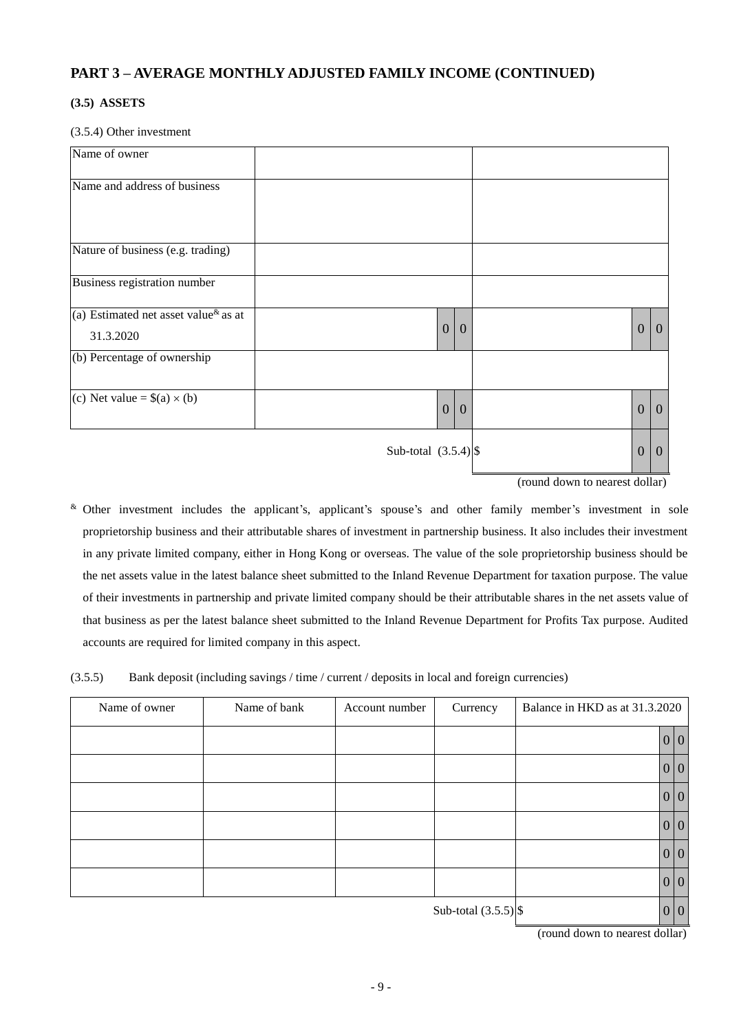## **(3.5) ASSETS**

#### (3.5.4) Other investment

| Name of owner                                                     |                        |            |  |                  |                |
|-------------------------------------------------------------------|------------------------|------------|--|------------------|----------------|
| Name and address of business                                      |                        |            |  |                  |                |
| Nature of business (e.g. trading)                                 |                        |            |  |                  |                |
| Business registration number                                      |                        |            |  |                  |                |
| (a) Estimated net asset value <sup>&amp;</sup> as at<br>31.3.2020 |                        | 0 0        |  | $\boldsymbol{0}$ | $\overline{0}$ |
| (b) Percentage of ownership                                       |                        |            |  |                  |                |
| (c) Net value = $$(a) \times (b)$                                 |                        | $0\vert 0$ |  | $\overline{0}$   | $\overline{0}$ |
|                                                                   | Sub-total $(3.5.4)$ \$ |            |  | $\boldsymbol{0}$ | $\overline{0}$ |

(round down to nearest dollar)

& Other investment includes the applicant's, applicant's spouse's and other family member's investment in sole proprietorship business and their attributable shares of investment in partnership business. It also includes their investment in any private limited company, either in Hong Kong or overseas. The value of the sole proprietorship business should be the net assets value in the latest balance sheet submitted to the Inland Revenue Department for taxation purpose. The value of their investments in partnership and private limited company should be their attributable shares in the net assets value of that business as per the latest balance sheet submitted to the Inland Revenue Department for Profits Tax purpose. Audited accounts are required for limited company in this aspect.

(3.5.5) Bank deposit (including savings / time / current / deposits in local and foreign currencies)

| Name of owner | Name of bank | Account number | Currency               | Balance in HKD as at 31.3.2020 |     |  |
|---------------|--------------|----------------|------------------------|--------------------------------|-----|--|
|               |              |                |                        |                                | 0 0 |  |
|               |              |                |                        |                                | 0 0 |  |
|               |              |                |                        |                                | 0 0 |  |
|               |              |                |                        |                                | 0 0 |  |
|               |              |                |                        |                                | 0 0 |  |
|               |              |                |                        |                                | 0 0 |  |
|               |              |                | Sub-total $(3.5.5)$ \$ |                                | 0 0 |  |

(round down to nearest dollar)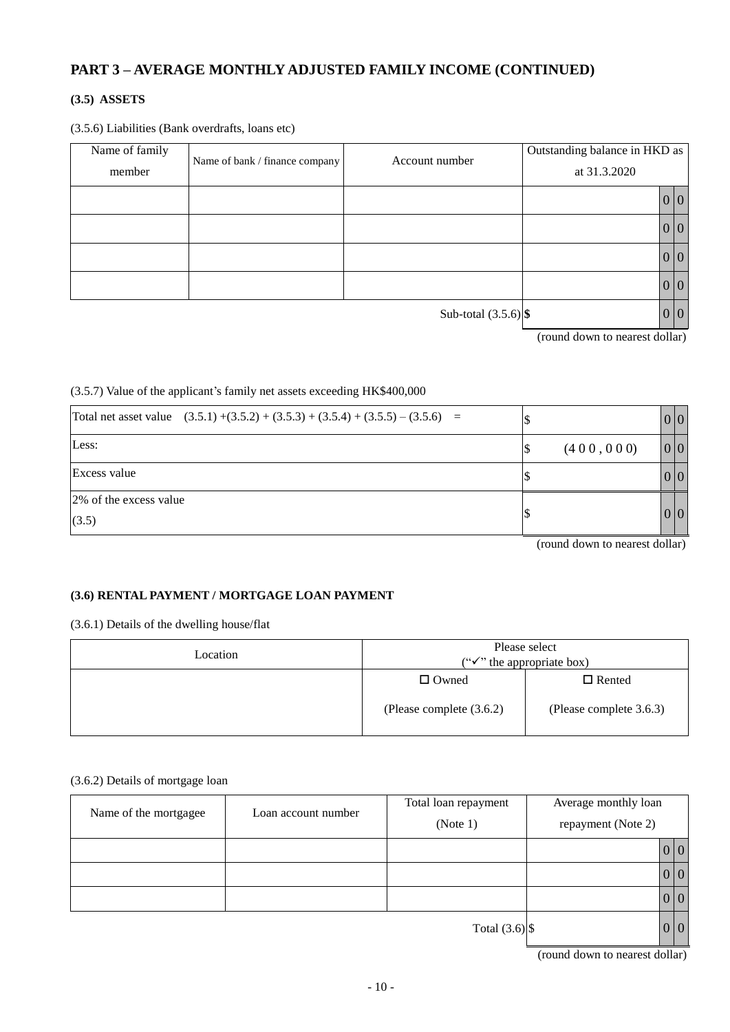# **(3.5) ASSETS**

(3.5.6) Liabilities (Bank overdrafts, loans etc)

| Name of family<br>member | Name of bank / finance company | Account number         | Outstanding balance in HKD as<br>at 31.3.2020 |     |  |
|--------------------------|--------------------------------|------------------------|-----------------------------------------------|-----|--|
|                          |                                |                        |                                               | 0 0 |  |
|                          |                                |                        |                                               | 0 0 |  |
|                          |                                |                        |                                               | 0 0 |  |
|                          |                                |                        |                                               | 0 0 |  |
|                          |                                | Sub-total $(3.5.6)$ \$ |                                               | 0 0 |  |

(round down to nearest dollar)

### (3.5.7) Value of the applicant's family net assets exceeding HK\$400,000

| Total net asset value $(3.5.1) + (3.5.2) + (3.5.3) + (3.5.4) + (3.5.5) - (3.5.6) =$ |            | 0 0 |
|-------------------------------------------------------------------------------------|------------|-----|
| Less:                                                                               | (400, 000) | 0 0 |
| Excess value                                                                        |            | 0 0 |
| 2% of the excess value                                                              |            |     |
| (3.5)                                                                               |            | 0 0 |

(round down to nearest dollar)

## **(3.6) RENTAL PAYMENT / MORTGAGE LOAN PAYMENT**

(3.6.1) Details of the dwelling house/flat

| Location | Please select<br>(" $\checkmark$ " the appropriate box) |                         |  |  |
|----------|---------------------------------------------------------|-------------------------|--|--|
|          | $\Box$ Owned                                            | $\Box$ Rented           |  |  |
|          | (Please complete $(3.6.2)$ )                            | (Please complete 3.6.3) |  |  |

#### (3.6.2) Details of mortgage loan

| Name of the mortgagee | Loan account number | Total loan repayment | Average monthly loan |     |  |
|-----------------------|---------------------|----------------------|----------------------|-----|--|
|                       |                     | (Note 1)             | repayment (Note 2)   |     |  |
|                       |                     |                      |                      | 0 0 |  |
|                       |                     |                      |                      | 0 0 |  |
|                       |                     |                      |                      | 0 0 |  |
|                       |                     | Total $(3.6)$ \$     |                      | 0 0 |  |

(round down to nearest dollar)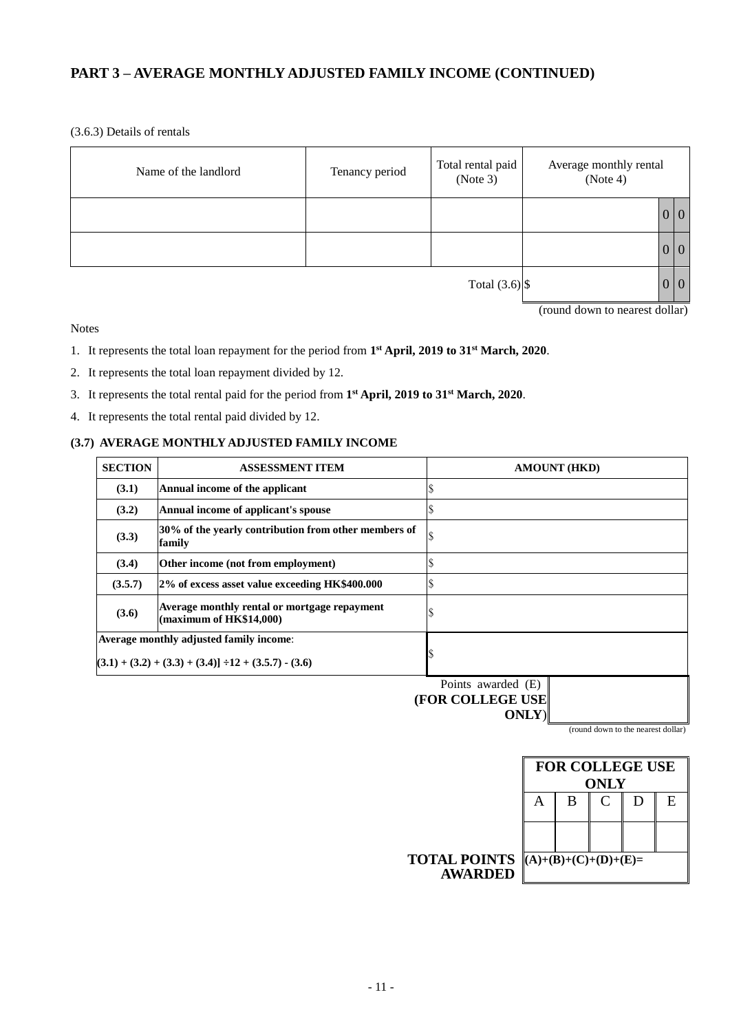(3.6.3) Details of rentals

| Name of the landlord | Tenancy period | Total rental paid<br>(Note 3) | Average monthly rental<br>(Note 4) |          |          |
|----------------------|----------------|-------------------------------|------------------------------------|----------|----------|
|                      |                |                               |                                    | 0 0      |          |
|                      |                |                               |                                    | 0 0      |          |
|                      |                | Total $(3.6)$ \$              |                                    | $\bf{U}$ | $\theta$ |

(round down to nearest dollar)

Notes

- 1. It represents the total loan repayment for the period from **1 st April, 2019 to 31st March, 2020**.
- 2. It represents the total loan repayment divided by 12.
- 3. It represents the total rental paid for the period from **1 st April, 2019 to 31st March, 2020**.
- 4. It represents the total rental paid divided by 12.

# **(3.7) AVERAGE MONTHLY ADJUSTED FAMILY INCOME**

| <b>SECTION</b> | <b>ASSESSMENT ITEM</b>                                                                              | <b>AMOUNT (HKD)</b> |
|----------------|-----------------------------------------------------------------------------------------------------|---------------------|
| (3.1)          | Annual income of the applicant                                                                      |                     |
| (3.2)          | Annual income of applicant's spouse                                                                 |                     |
| (3.3)          | 30% of the yearly contribution from other members of<br>family                                      |                     |
| (3.4)          | Other income (not from employment)                                                                  |                     |
| (3.5.7)        | 2% of excess asset value exceeding HK\$400.000                                                      |                     |
| (3.6)          | Average monthly rental or mortgage repayment<br>(maximum of HK\$14,000)                             |                     |
|                | <b>Average monthly adjusted family income:</b><br>$(3.1) + (3.2) + (3.3) + (3.4) + (3.5.7) - (3.6)$ |                     |
|                |                                                                                                     | Points awarded (E)  |

**(FOR COLLEGE USE ONLY**)

(round down to the nearest dollar)

|                                                              |   |   | <b>ONLY</b> | <b>FOR COLLEGE USE</b> |    |
|--------------------------------------------------------------|---|---|-------------|------------------------|----|
|                                                              | A | B |             |                        | F. |
|                                                              |   |   |             |                        |    |
| <b>TOTAL POINTS</b> $(A)+(B)+(C)+(D)+(E)=$<br><b>AWARDED</b> |   |   |             |                        |    |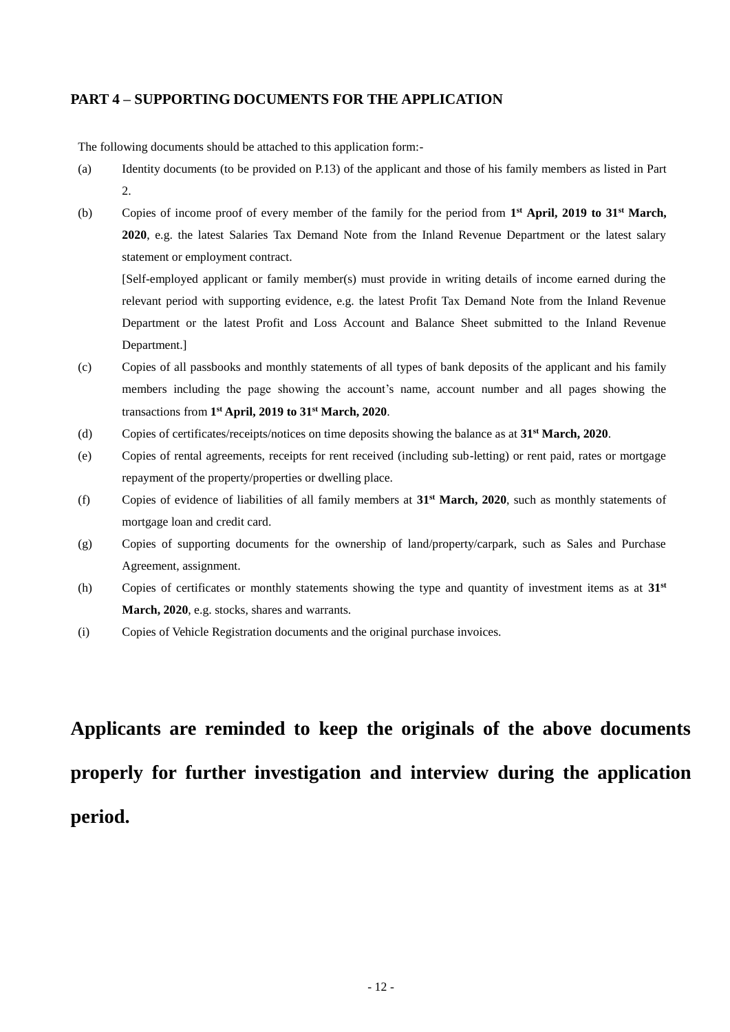## **PART 4 – SUPPORTING DOCUMENTS FOR THE APPLICATION**

The following documents should be attached to this application form:-

- (a) Identity documents (to be provided on P.13) of the applicant and those of his family members as listed in Part 2.
- (b) Copies of income proof of every member of the family for the period from **1 st April, 2019 to 31st March, 2020**, e.g. the latest Salaries Tax Demand Note from the Inland Revenue Department or the latest salary statement or employment contract.

[Self-employed applicant or family member(s) must provide in writing details of income earned during the relevant period with supporting evidence, e.g. the latest Profit Tax Demand Note from the Inland Revenue Department or the latest Profit and Loss Account and Balance Sheet submitted to the Inland Revenue Department.]

- (c) Copies of all passbooks and monthly statements of all types of bank deposits of the applicant and his family members including the page showing the account's name, account number and all pages showing the transactions from **1 st April, 2019 to 31st March, 2020**.
- (d) Copies of certificates/receipts/notices on time deposits showing the balance as at **31st March, 2020**.
- (e) Copies of rental agreements, receipts for rent received (including sub-letting) or rent paid, rates or mortgage repayment of the property/properties or dwelling place.
- (f) Copies of evidence of liabilities of all family members at **31st March, 2020**, such as monthly statements of mortgage loan and credit card.
- (g) Copies of supporting documents for the ownership of land/property/carpark, such as Sales and Purchase Agreement, assignment.
- (h) Copies of certificates or monthly statements showing the type and quantity of investment items as at **31st March, 2020**, e.g. stocks, shares and warrants.
- (i) Copies of Vehicle Registration documents and the original purchase invoices.

**Applicants are reminded to keep the originals of the above documents properly for further investigation and interview during the application period.**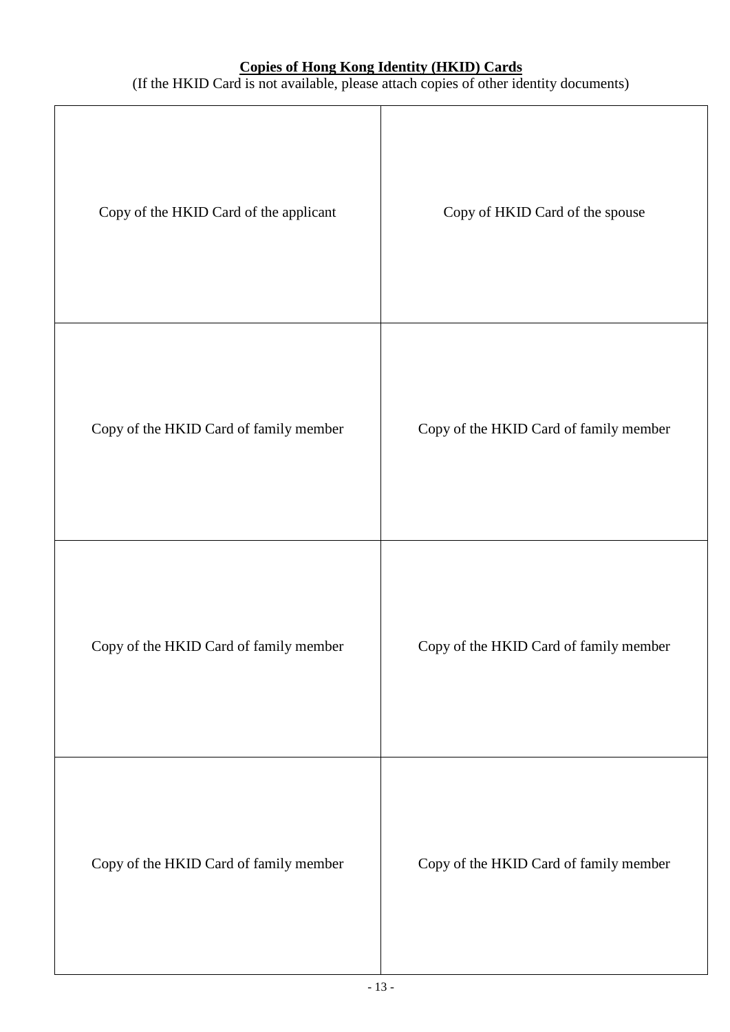# **Copies of Hong Kong Identity (HKID) Cards**

(If the HKID Card is not available, please attach copies of other identity documents)

| Copy of the HKID Card of the applicant | Copy of HKID Card of the spouse        |
|----------------------------------------|----------------------------------------|
| Copy of the HKID Card of family member | Copy of the HKID Card of family member |
| Copy of the HKID Card of family member | Copy of the HKID Card of family member |
| Copy of the HKID Card of family member | Copy of the HKID Card of family member |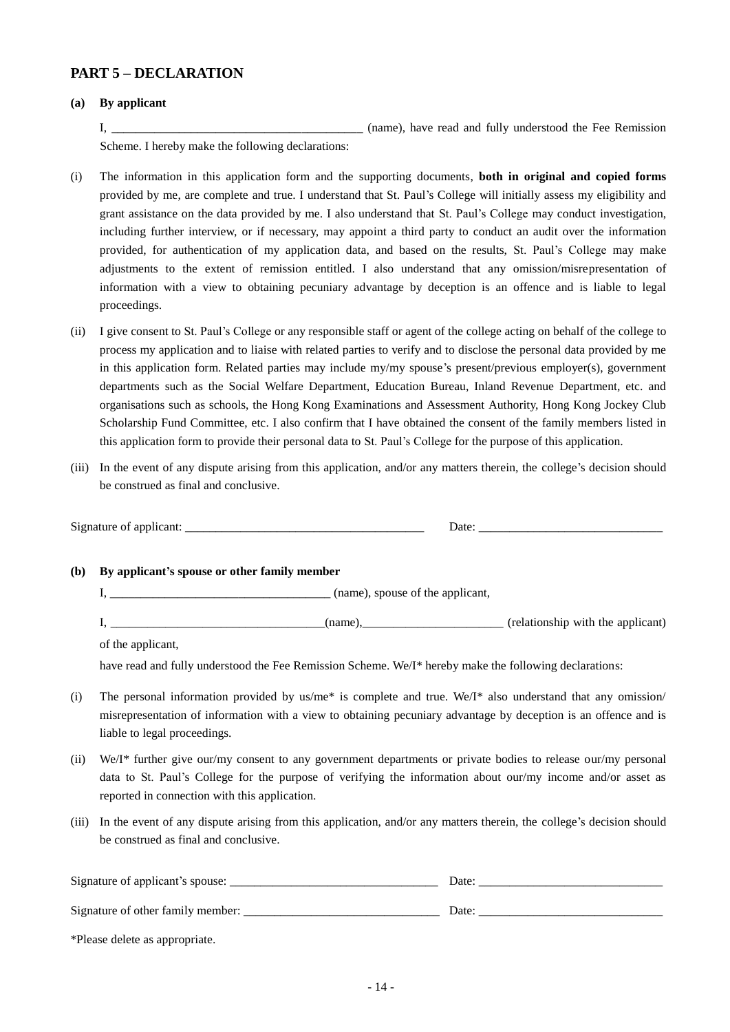# **PART 5 – DECLARATION**

#### **(a) By applicant**

I, the contract of the contract of the contract of the Teenulus and fully understood the Fee Remission

Scheme. I hereby make the following declarations:

- (i) The information in this application form and the supporting documents, **both in original and copied forms** provided by me, are complete and true. I understand that St. Paul's College will initially assess my eligibility and grant assistance on the data provided by me. I also understand that St. Paul's College may conduct investigation, including further interview, or if necessary, may appoint a third party to conduct an audit over the information provided, for authentication of my application data, and based on the results, St. Paul's College may make adjustments to the extent of remission entitled. I also understand that any omission/misrepresentation of information with a view to obtaining pecuniary advantage by deception is an offence and is liable to legal proceedings.
- (ii) I give consent to St. Paul's College or any responsible staff or agent of the college acting on behalf of the college to process my application and to liaise with related parties to verify and to disclose the personal data provided by me in this application form. Related parties may include my/my spouse's present/previous employer(s), government departments such as the Social Welfare Department, Education Bureau, Inland Revenue Department, etc. and organisations such as schools, the Hong Kong Examinations and Assessment Authority, Hong Kong Jockey Club Scholarship Fund Committee, etc. I also confirm that I have obtained the consent of the family members listed in this application form to provide their personal data to St. Paul's College for the purpose of this application.
- (iii) In the event of any dispute arising from this application, and/or any matters therein, the college's decision should be construed as final and conclusive.

| <b>(b)</b> | By applicant's spouse or other family member                                                                                                                                                                                                                                 |
|------------|------------------------------------------------------------------------------------------------------------------------------------------------------------------------------------------------------------------------------------------------------------------------------|
|            |                                                                                                                                                                                                                                                                              |
|            |                                                                                                                                                                                                                                                                              |
|            | of the applicant,                                                                                                                                                                                                                                                            |
|            | have read and fully understood the Fee Remission Scheme. We/I* hereby make the following declarations:                                                                                                                                                                       |
| (i)        | The personal information provided by us/me* is complete and true. We/I* also understand that any omission/<br>misrepresentation of information with a view to obtaining pecuniary advantage by deception is an offence and is<br>liable to legal proceedings.                |
| (ii)       | We/I* further give our/my consent to any government departments or private bodies to release our/my personal<br>data to St. Paul's College for the purpose of verifying the information about our/my income and/or asset as<br>reported in connection with this application. |
| (iii)      | In the event of any dispute arising from this application, and/or any matters therein, the college's decision should<br>be construed as final and conclusive.                                                                                                                |

| Signature of applicant's spouse:  | Date: |
|-----------------------------------|-------|
| Signature of other family member: | Date: |
| *Please delete as appropriate.    |       |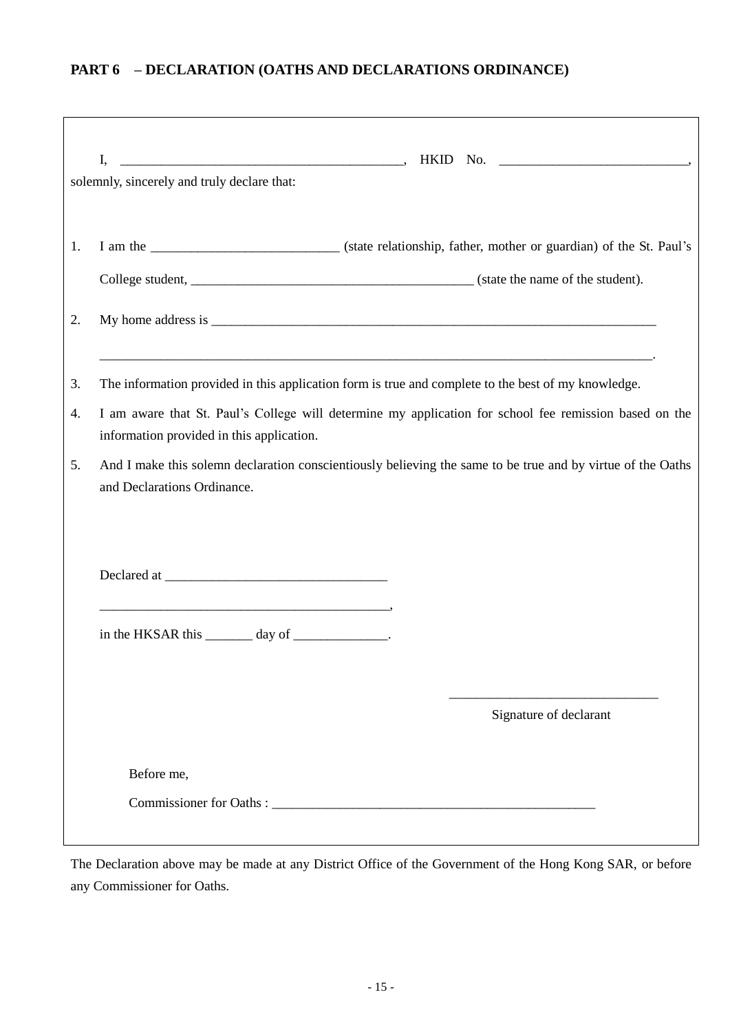# **PART 6 – DECLARATION (OATHS AND DECLARATIONS ORDINANCE)**

|    | I,                                                                                                  |                                                                                                             |
|----|-----------------------------------------------------------------------------------------------------|-------------------------------------------------------------------------------------------------------------|
|    | solemnly, sincerely and truly declare that:                                                         |                                                                                                             |
|    |                                                                                                     |                                                                                                             |
| 1. |                                                                                                     |                                                                                                             |
|    |                                                                                                     |                                                                                                             |
| 2. |                                                                                                     |                                                                                                             |
|    |                                                                                                     |                                                                                                             |
| 3. | The information provided in this application form is true and complete to the best of my knowledge. |                                                                                                             |
| 4. | information provided in this application.                                                           | I am aware that St. Paul's College will determine my application for school fee remission based on the      |
| 5. |                                                                                                     | And I make this solemn declaration conscientiously believing the same to be true and by virtue of the Oaths |
|    | and Declarations Ordinance.                                                                         |                                                                                                             |
|    |                                                                                                     |                                                                                                             |
|    |                                                                                                     |                                                                                                             |
|    |                                                                                                     |                                                                                                             |
|    | in the HKSAR this _______ day of _____________.                                                     |                                                                                                             |
|    |                                                                                                     |                                                                                                             |
|    |                                                                                                     |                                                                                                             |
|    |                                                                                                     | Signature of declarant                                                                                      |
|    | Before me,                                                                                          |                                                                                                             |
|    | Commissioner for Oaths:                                                                             |                                                                                                             |
|    |                                                                                                     |                                                                                                             |

The Declaration above may be made at any District Office of the Government of the Hong Kong SAR, or before any Commissioner for Oaths.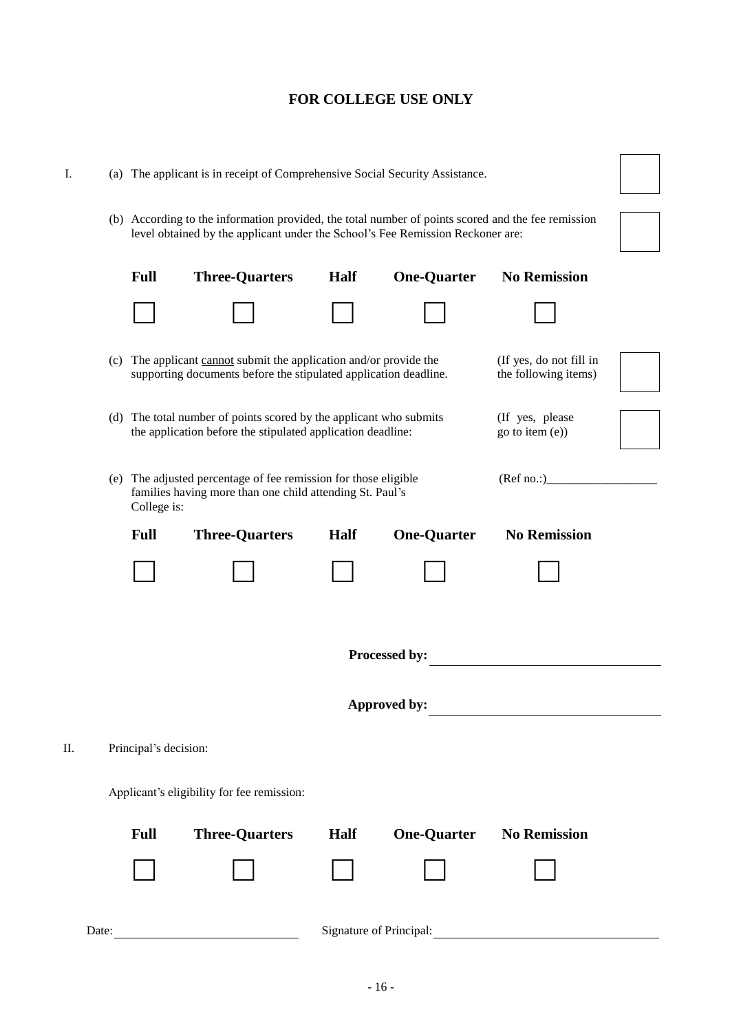|  |  | ۰.<br>I<br>M.<br>۰, |  |
|--|--|---------------------|--|
|--|--|---------------------|--|

| Ι.                               |                                                                                                                                                                                           | (a) The applicant is in receipt of Comprehensive Social Security Assistance.                                                                                                         |                       |             |                    |                     |  |
|----------------------------------|-------------------------------------------------------------------------------------------------------------------------------------------------------------------------------------------|--------------------------------------------------------------------------------------------------------------------------------------------------------------------------------------|-----------------------|-------------|--------------------|---------------------|--|
|                                  |                                                                                                                                                                                           | (b) According to the information provided, the total number of points scored and the fee remission<br>level obtained by the applicant under the School's Fee Remission Reckoner are: |                       |             |                    |                     |  |
|                                  |                                                                                                                                                                                           | <b>Full</b>                                                                                                                                                                          | <b>Three-Quarters</b> | <b>Half</b> | <b>One-Quarter</b> | <b>No Remission</b> |  |
|                                  |                                                                                                                                                                                           |                                                                                                                                                                                      |                       |             |                    |                     |  |
|                                  | (c) The applicant cannot submit the application and/or provide the<br>(If yes, do not fill in<br>supporting documents before the stipulated application deadline.<br>the following items) |                                                                                                                                                                                      |                       |             |                    |                     |  |
|                                  | (d) The total number of points scored by the applicant who submits<br>(If yes, please<br>the application before the stipulated application deadline:<br>go to item (e))                   |                                                                                                                                                                                      |                       |             |                    |                     |  |
|                                  | (e) The adjusted percentage of fee remission for those eligible<br>(Ref no. )<br>families having more than one child attending St. Paul's<br>College is:                                  |                                                                                                                                                                                      |                       |             |                    |                     |  |
|                                  |                                                                                                                                                                                           | <b>Full</b>                                                                                                                                                                          | <b>Three-Quarters</b> | Half        | <b>One-Quarter</b> | <b>No Remission</b> |  |
|                                  |                                                                                                                                                                                           |                                                                                                                                                                                      |                       |             |                    |                     |  |
| Processed by:                    |                                                                                                                                                                                           |                                                                                                                                                                                      |                       |             |                    |                     |  |
|                                  | Approved by:                                                                                                                                                                              |                                                                                                                                                                                      |                       |             |                    |                     |  |
| П.<br>Principal's decision:      |                                                                                                                                                                                           |                                                                                                                                                                                      |                       |             |                    |                     |  |
|                                  | Applicant's eligibility for fee remission:                                                                                                                                                |                                                                                                                                                                                      |                       |             |                    |                     |  |
|                                  |                                                                                                                                                                                           | <b>Full</b>                                                                                                                                                                          | <b>Three-Quarters</b> | Half        | <b>One-Quarter</b> | <b>No Remission</b> |  |
|                                  |                                                                                                                                                                                           |                                                                                                                                                                                      |                       |             |                    |                     |  |
| Signature of Principal:<br>Date: |                                                                                                                                                                                           |                                                                                                                                                                                      |                       |             |                    |                     |  |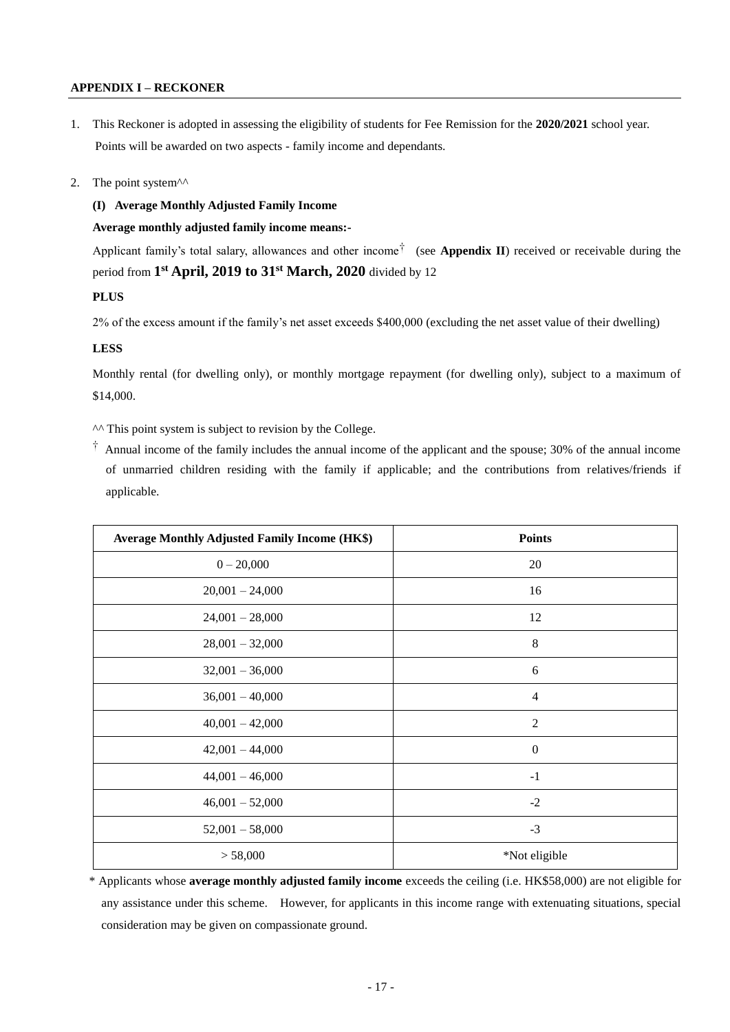### **APPENDIX I – RECKONER**

1. This Reckoner is adopted in assessing the eligibility of students for Fee Remission for the **2020/2021** school year. Points will be awarded on two aspects - family income and dependants.

#### 2. The point system $\lambda$ <sup> $\lambda$ </sup>

#### **(I) Average Monthly Adjusted Family Income**

#### **Average monthly adjusted family income means:-**

Applicant family's total salary, allowances and other income† (see **Appendix II**) received or receivable during the period from **1 st April, 2019 to 31st March, 2020** divided by 12

## **PLUS**

2% of the excess amount if the family's net asset exceeds \$400,000 (excluding the net asset value of their dwelling)

#### **LESS**

Monthly rental (for dwelling only), or monthly mortgage repayment (for dwelling only), subject to a maximum of \$14,000.

^^ This point system is subject to revision by the College.

† Annual income of the family includes the annual income of the applicant and the spouse; 30% of the annual income of unmarried children residing with the family if applicable; and the contributions from relatives/friends if applicable.

| <b>Average Monthly Adjusted Family Income (HK\$)</b> | <b>Points</b>    |
|------------------------------------------------------|------------------|
| $0 - 20,000$                                         | 20               |
| $20,001 - 24,000$                                    | 16               |
| $24,001 - 28,000$                                    | 12               |
| $28,001 - 32,000$                                    | $\,8\,$          |
| $32,001 - 36,000$                                    | 6                |
| $36,001 - 40,000$                                    | $\overline{4}$   |
| $40,001 - 42,000$                                    | $\overline{2}$   |
| $42,001 - 44,000$                                    | $\boldsymbol{0}$ |
| $44,001 - 46,000$                                    | $-1$             |
| $46,001 - 52,000$                                    | $-2$             |
| $52,001 - 58,000$                                    | $-3$             |
| > 58,000                                             | *Not eligible    |

\* Applicants whose **average monthly adjusted family income** exceeds the ceiling (i.e. HK\$58,000) are not eligible for any assistance under this scheme. However, for applicants in this income range with extenuating situations, special consideration may be given on compassionate ground.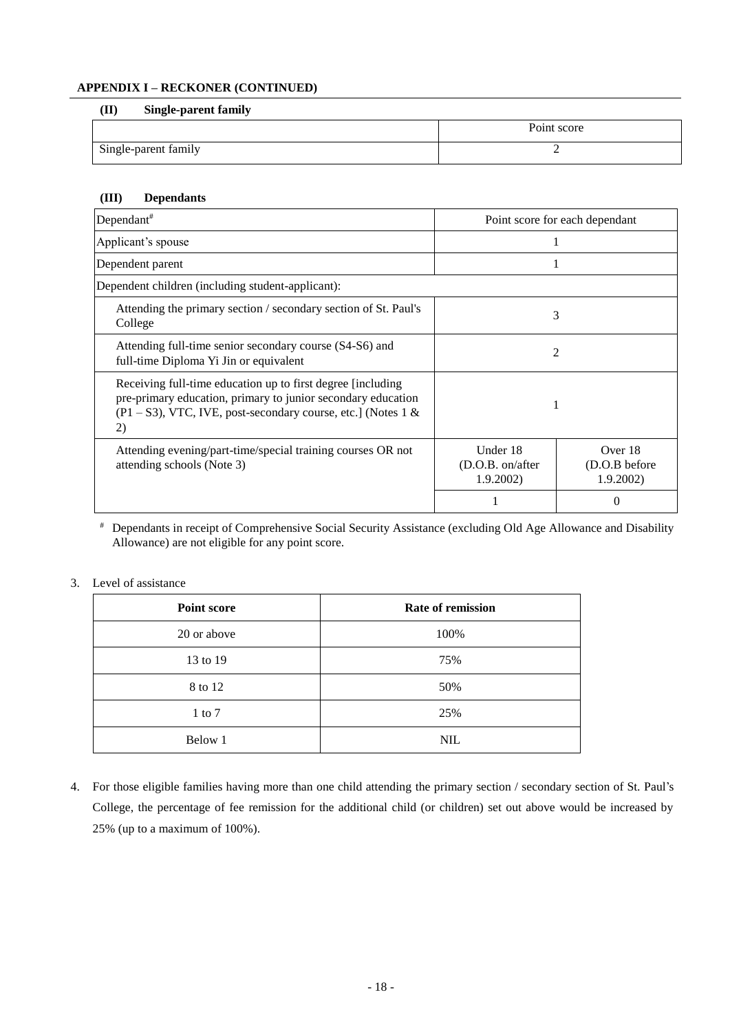## **APPENDIX I – RECKONER (CONTINUED)**

#### **(II) Single-parent family**

|                      | Point score |
|----------------------|-------------|
| Single-parent family |             |

## **(III) Dependants**

| Dependant <sup>#</sup>                                                                                                                                                                                |   | Point score for each dependant       |  |
|-------------------------------------------------------------------------------------------------------------------------------------------------------------------------------------------------------|---|--------------------------------------|--|
| Applicant's spouse                                                                                                                                                                                    |   |                                      |  |
| Dependent parent                                                                                                                                                                                      |   |                                      |  |
| Dependent children (including student-applicant):                                                                                                                                                     |   |                                      |  |
| Attending the primary section / secondary section of St. Paul's<br>College                                                                                                                            |   | 3                                    |  |
| Attending full-time senior secondary course (S4-S6) and<br>full-time Diploma Yi Jin or equivalent                                                                                                     | 2 |                                      |  |
| Receiving full-time education up to first degree [including]<br>pre-primary education, primary to junior secondary education<br>$(P1 - S3)$ , VTC, IVE, post-secondary course, etc.] (Notes 1 &<br>2) |   |                                      |  |
| Under 18<br>Attending evening/part-time/special training courses OR not<br>attending schools (Note 3)<br>(D.O.B. on/after)<br>1.9.2002                                                                |   | Over 18<br>(D.O.B before<br>1.9.2002 |  |
|                                                                                                                                                                                                       |   |                                      |  |

# Dependants in receipt of Comprehensive Social Security Assistance (excluding Old Age Allowance and Disability Allowance) are not eligible for any point score.

## 3. Level of assistance

| <b>Point score</b> | Rate of remission |
|--------------------|-------------------|
| 20 or above        | 100%              |
| 13 to 19           | 75%               |
| 8 to 12            | 50%               |
| $1$ to $7$         | 25%               |
| Below 1            | <b>NIL</b>        |

4. For those eligible families having more than one child attending the primary section / secondary section of St. Paul's College, the percentage of fee remission for the additional child (or children) set out above would be increased by 25% (up to a maximum of 100%).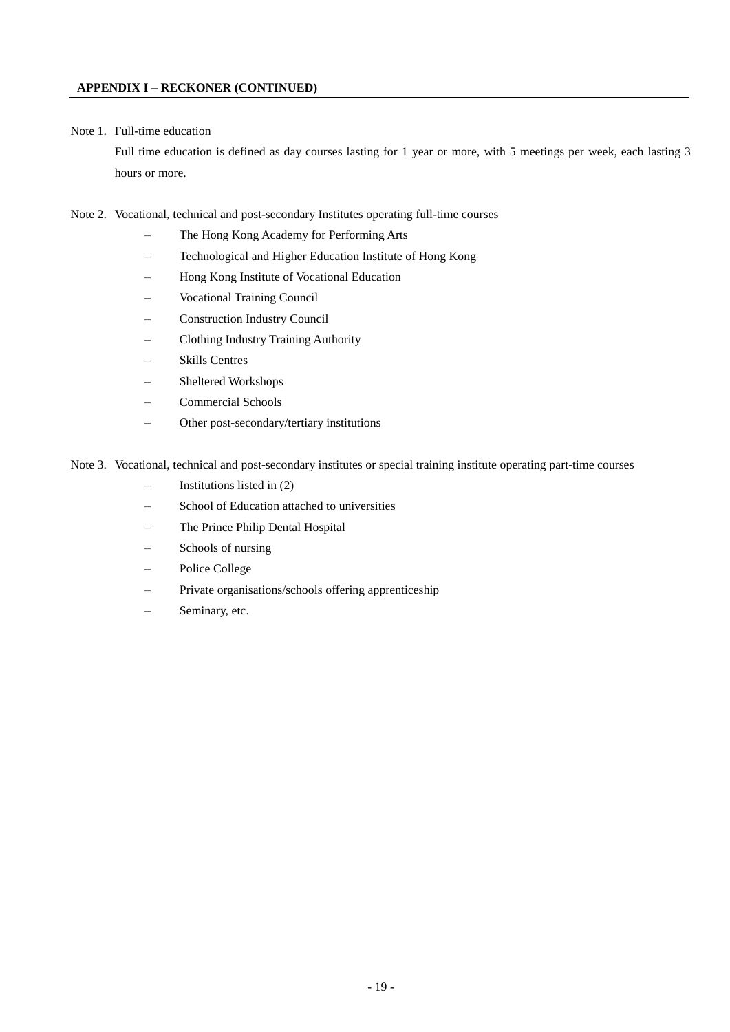#### Note 1. Full-time education

Full time education is defined as day courses lasting for 1 year or more, with 5 meetings per week, each lasting 3 hours or more.

- Note 2. Vocational, technical and post-secondary Institutes operating full-time courses
	- The Hong Kong Academy for Performing Arts
	- Technological and Higher Education Institute of Hong Kong
	- Hong Kong Institute of Vocational Education
	- Vocational Training Council
	- Construction Industry Council
	- Clothing Industry Training Authority
	- Skills Centres
	- Sheltered Workshops
	- Commercial Schools
	- Other post-secondary/tertiary institutions

Note 3. Vocational, technical and post-secondary institutes or special training institute operating part-time courses

- Institutions listed in  $(2)$
- School of Education attached to universities
- The Prince Philip Dental Hospital
- Schools of nursing
- Police College
- Private organisations/schools offering apprenticeship
- Seminary, etc.